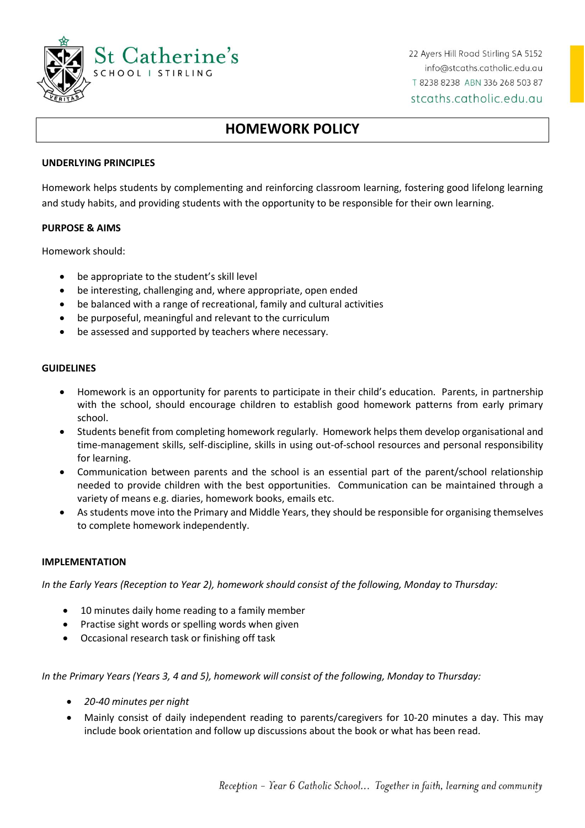

22 Ayers Hill Road Stirling SA 5152 info@stcaths.catholic.edu.au T 8238 8238 ABN 336 268 503 87 stcaths.catholic.edu.au

# **HOMEWORK POLICY**

## **UNDERLYING PRINCIPLES**

Homework helps students by complementing and reinforcing classroom learning, fostering good lifelong learning and study habits, and providing students with the opportunity to be responsible for their own learning.

#### **PURPOSE & AIMS**

Homework should:

- be appropriate to the student's skill level
- be interesting, challenging and, where appropriate, open ended
- be balanced with a range of recreational, family and cultural activities
- be purposeful, meaningful and relevant to the curriculum
- be assessed and supported by teachers where necessary.

#### **GUIDELINES**

- Homework is an opportunity for parents to participate in their child's education. Parents, in partnership with the school, should encourage children to establish good homework patterns from early primary school.
- Students benefit from completing homework regularly. Homework helps them develop organisational and time-management skills, self-discipline, skills in using out-of-school resources and personal responsibility for learning.
- Communication between parents and the school is an essential part of the parent/school relationship needed to provide children with the best opportunities. Communication can be maintained through a variety of means e.g. diaries, homework books, emails etc.
- As students move into the Primary and Middle Years, they should be responsible for organising themselves to complete homework independently.

## **IMPLEMENTATION**

*In the Early Years (Reception to Year 2), homework should consist of the following, Monday to Thursday:*

- 10 minutes daily home reading to a family member
- Practise sight words or spelling words when given
- Occasional research task or finishing off task

*In the Primary Years (Years 3, 4 and 5), homework will consist of the following, Monday to Thursday:*

- *20-40 minutes per night*
- Mainly consist of daily independent reading to parents/caregivers for 10-20 minutes a day. This may include book orientation and follow up discussions about the book or what has been read.